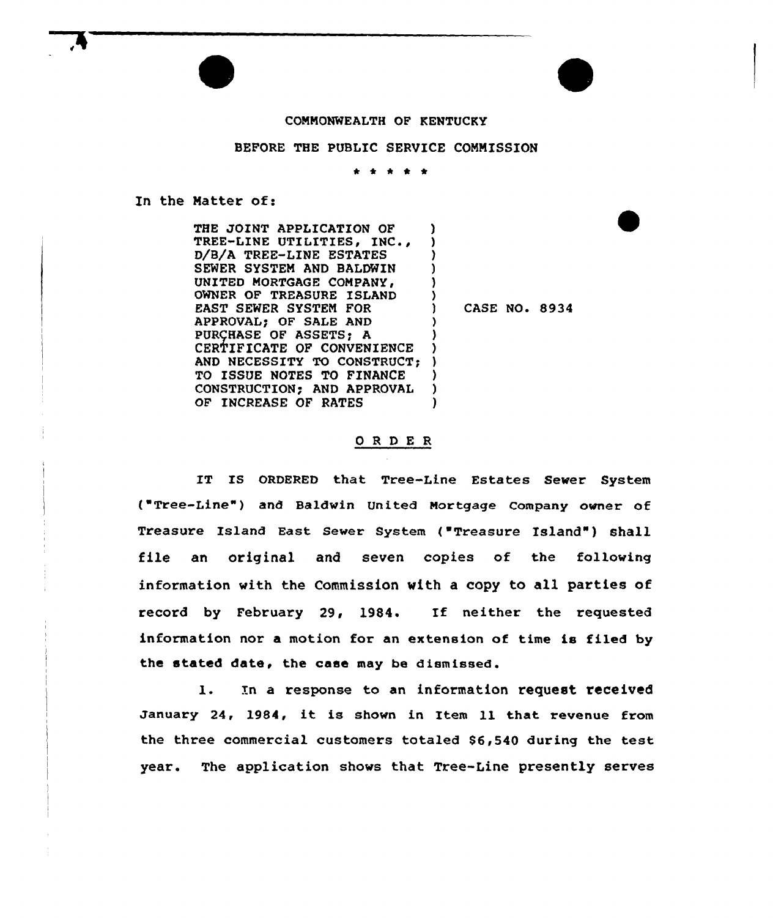## COMMONWEALTH OF KENTUCKY

## BEFORE THE PUBLIC SERVICE COMMISSION

\* <sup>4</sup> \* \* \*

In the Matter of:

THE JOINT APPLICATION OF TREE-LINE UTILITIES, INC., D/B/A TREE-LINE ESTATES SEWER SYSTEM AND BALDWIN UNITED MORTGAGE COMPANY, OWNER OF TREASURE ISLAND EAST SEWER SYSTEM FOR APPROVAL) OF SALE AND PURCHASE OF ASSETS; A CERTIFICATE OF CONVENIENCE AND NECESSITY TO CONSTRUCT; TO ISSUE NOTES TO FINANCE CONSTRUCTION; AND APPROVAL OF INCREASE OF RATES ) ) ) ) ) ) CASE NO. 8934 ) ) ) ) ) ) )

## ORDER

IT IS ORDERED that Tree-Line Estates Sever System ( Tree-Line" ) and Baldwin United Mortgage Company owner of Treasure Island East Sewer System ("Treasure Island") shall file an original and seven copies of the folloving information with the Commission with a copy to all parties of record by February 29, 1984. If neither the requested information nor a motion for an extension of time is filed by the stated date, the case may be dismissed.

1. In a response to an information request received January 24, 1984, it is shown in Item ll that revenue from the three commercial customers totaled 86,540 during the test year. The application shows that Tree-Line presently serves